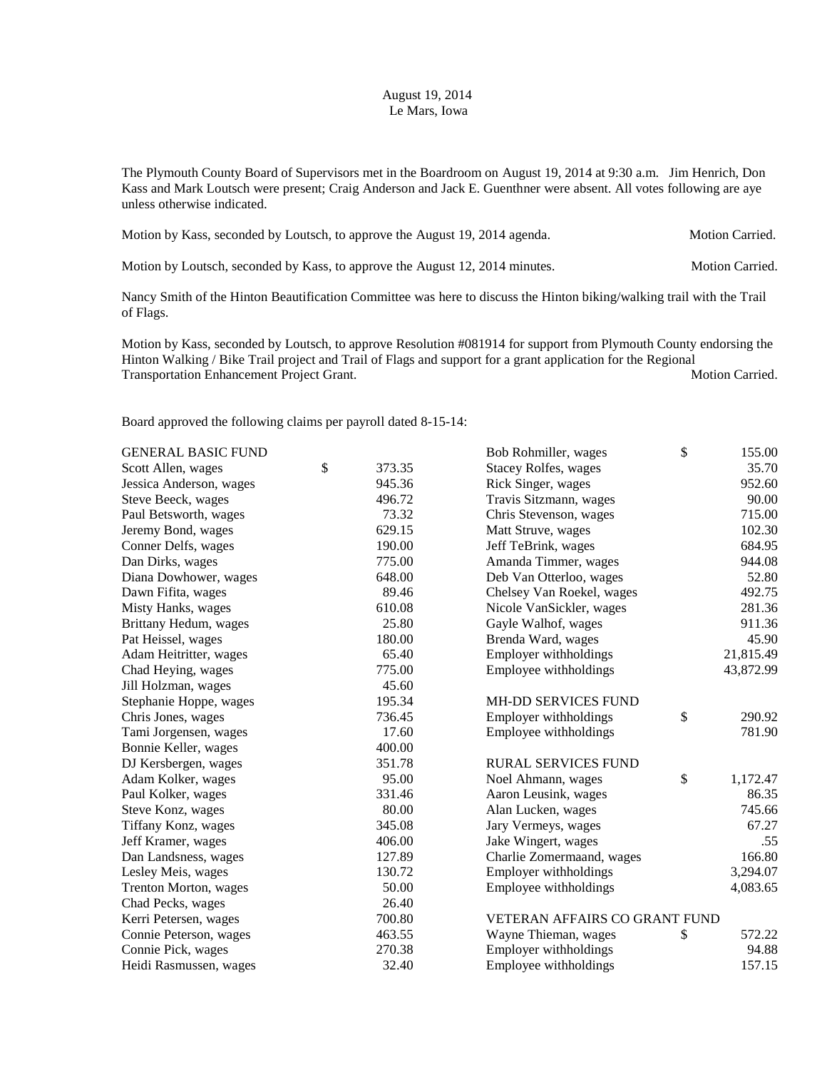## August 19, 2014 Le Mars, Iowa

The Plymouth County Board of Supervisors met in the Boardroom on August 19, 2014 at 9:30 a.m. Jim Henrich, Don Kass and Mark Loutsch were present; Craig Anderson and Jack E. Guenthner were absent. All votes following are aye unless otherwise indicated.

| Motion by Kass, seconded by Loutsch, to approve the August 19, 2014 agenda. | <b>Motion Carried.</b> |
|-----------------------------------------------------------------------------|------------------------|
|-----------------------------------------------------------------------------|------------------------|

Motion by Loutsch, seconded by Kass, to approve the August 12, 2014 minutes. Motion Carried.

Nancy Smith of the Hinton Beautification Committee was here to discuss the Hinton biking/walking trail with the Trail of Flags.

Motion by Kass, seconded by Loutsch, to approve Resolution #081914 for support from Plymouth County endorsing the Hinton Walking / Bike Trail project and Trail of Flags and support for a grant application for the Regional Transportation Enhancement Project Grant. Transportation Carried.

Board approved the following claims per payroll dated 8-15-14:

| <b>GENERAL BASIC FUND</b> |              | Bob Rohmiller, wages          | $\mathcal{S}$ | 155.00    |
|---------------------------|--------------|-------------------------------|---------------|-----------|
| Scott Allen, wages        | \$<br>373.35 | <b>Stacey Rolfes, wages</b>   |               | 35.70     |
| Jessica Anderson, wages   | 945.36       | Rick Singer, wages            |               | 952.60    |
| Steve Beeck, wages        | 496.72       | Travis Sitzmann, wages        |               | 90.00     |
| Paul Betsworth, wages     | 73.32        | Chris Stevenson, wages        |               | 715.00    |
| Jeremy Bond, wages        | 629.15       | Matt Struve, wages            |               | 102.30    |
| Conner Delfs, wages       | 190.00       | Jeff TeBrink, wages           |               | 684.95    |
| Dan Dirks, wages          | 775.00       | Amanda Timmer, wages          |               | 944.08    |
| Diana Dowhower, wages     | 648.00       | Deb Van Otterloo, wages       |               | 52.80     |
| Dawn Fifita, wages        | 89.46        | Chelsey Van Roekel, wages     |               | 492.75    |
| Misty Hanks, wages        | 610.08       | Nicole VanSickler, wages      |               | 281.36    |
| Brittany Hedum, wages     | 25.80        | Gayle Walhof, wages           |               | 911.36    |
| Pat Heissel, wages        | 180.00       | Brenda Ward, wages            |               | 45.90     |
| Adam Heitritter, wages    | 65.40        | Employer withholdings         |               | 21,815.49 |
| Chad Heying, wages        | 775.00       | Employee withholdings         |               | 43,872.99 |
| Jill Holzman, wages       | 45.60        |                               |               |           |
| Stephanie Hoppe, wages    | 195.34       | <b>MH-DD SERVICES FUND</b>    |               |           |
| Chris Jones, wages        | 736.45       | Employer withholdings         | $\mathbb{S}$  | 290.92    |
| Tami Jorgensen, wages     | 17.60        | Employee withholdings         |               | 781.90    |
| Bonnie Keller, wages      | 400.00       |                               |               |           |
| DJ Kersbergen, wages      | 351.78       | <b>RURAL SERVICES FUND</b>    |               |           |
| Adam Kolker, wages        | 95.00        | Noel Ahmann, wages            | \$            | 1,172.47  |
| Paul Kolker, wages        | 331.46       | Aaron Leusink, wages          |               | 86.35     |
| Steve Konz, wages         | 80.00        | Alan Lucken, wages            |               | 745.66    |
| Tiffany Konz, wages       | 345.08       | Jary Vermeys, wages           |               | 67.27     |
| Jeff Kramer, wages        | 406.00       | Jake Wingert, wages           |               | .55       |
| Dan Landsness, wages      | 127.89       | Charlie Zomermaand, wages     |               | 166.80    |
| Lesley Meis, wages        | 130.72       | Employer withholdings         |               | 3,294.07  |
| Trenton Morton, wages     | 50.00        | Employee withholdings         |               | 4,083.65  |
| Chad Pecks, wages         | 26.40        |                               |               |           |
| Kerri Petersen, wages     | 700.80       | VETERAN AFFAIRS CO GRANT FUND |               |           |
| Connie Peterson, wages    | 463.55       | Wayne Thieman, wages          | \$            | 572.22    |
| Connie Pick, wages        | 270.38       | Employer withholdings         |               | 94.88     |
| Heidi Rasmussen, wages    | 32.40        | Employee withholdings         |               | 157.15    |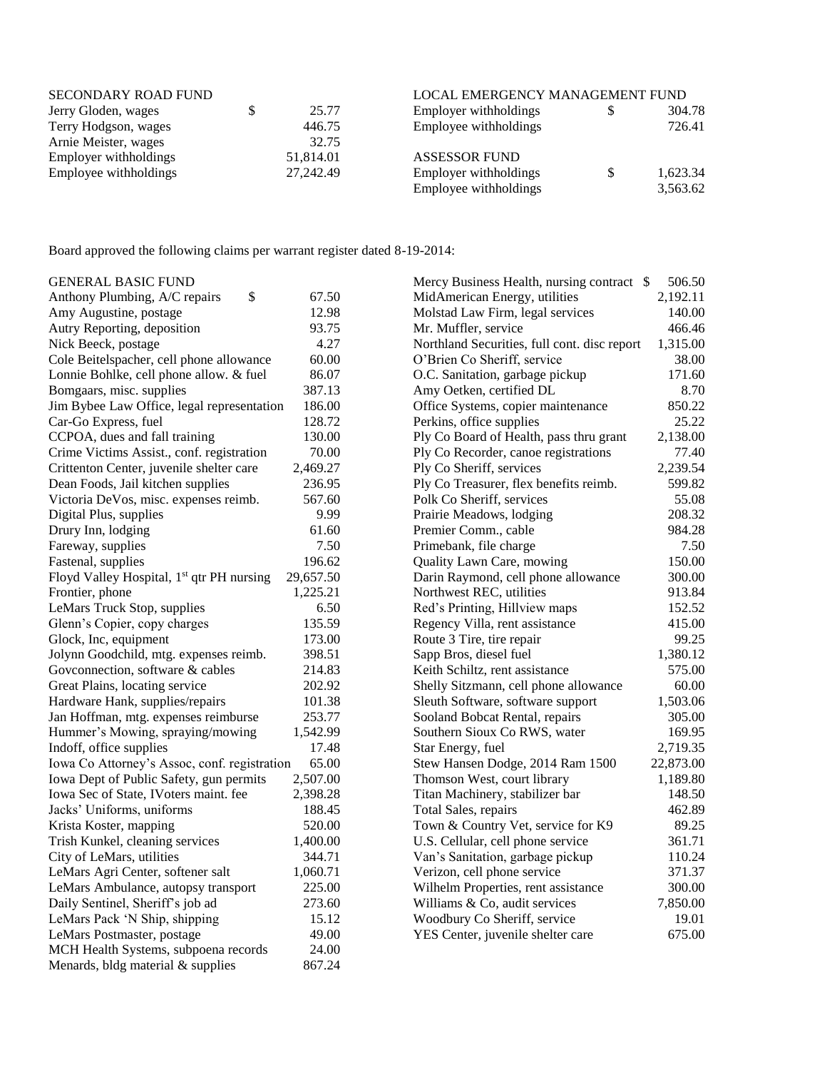| <b>SECONDARY ROAD FUND</b> |           | LOCAL EMERGENCY MANAGEMENT FUND |     |          |
|----------------------------|-----------|---------------------------------|-----|----------|
| Jerry Gloden, wages        | 25.77     | Employer with holdings          | S   | 304.78   |
| Terry Hodgson, wages       | 446.75    | Employee withholdings           |     | 726.41   |
| Arnie Meister, wages       | 32.75     |                                 |     |          |
| Employer withholdings      | 51,814.01 | <b>ASSESSOR FUND</b>            |     |          |
| Employee withholdings      | 27,242.49 | Employer with holdings          | \$. | 1,623.34 |
|                            |           | Employee withholdings           |     | 3,563.62 |

Board approved the following claims per warrant register dated 8-19-2014:

| <b>GENERAL BASIC FUND</b>                             |           | Mercy Business Health, nursing contract \$   | 506.50    |
|-------------------------------------------------------|-----------|----------------------------------------------|-----------|
| \$<br>Anthony Plumbing, A/C repairs                   | 67.50     | MidAmerican Energy, utilities                | 2,192.11  |
| Amy Augustine, postage                                | 12.98     | Molstad Law Firm, legal services             | 140.00    |
| Autry Reporting, deposition                           | 93.75     | Mr. Muffler, service                         | 466.46    |
| Nick Beeck, postage                                   | 4.27      | Northland Securities, full cont. disc report | 1,315.00  |
| Cole Beitelspacher, cell phone allowance              | 60.00     | O'Brien Co Sheriff, service                  | 38.00     |
| Lonnie Bohlke, cell phone allow. & fuel               | 86.07     | O.C. Sanitation, garbage pickup              | 171.60    |
| Bomgaars, misc. supplies                              | 387.13    | Amy Oetken, certified DL                     | 8.70      |
| Jim Bybee Law Office, legal representation            | 186.00    | Office Systems, copier maintenance           | 850.22    |
| Car-Go Express, fuel                                  | 128.72    | Perkins, office supplies                     | 25.22     |
| CCPOA, dues and fall training                         | 130.00    | Ply Co Board of Health, pass thru grant      | 2,138.00  |
| Crime Victims Assist., conf. registration             | 70.00     | Ply Co Recorder, canoe registrations         | 77.40     |
| Crittenton Center, juvenile shelter care              | 2,469.27  | Ply Co Sheriff, services                     | 2,239.54  |
| Dean Foods, Jail kitchen supplies                     | 236.95    | Ply Co Treasurer, flex benefits reimb.       | 599.82    |
| Victoria DeVos, misc. expenses reimb.                 | 567.60    | Polk Co Sheriff, services                    | 55.08     |
| Digital Plus, supplies                                | 9.99      | Prairie Meadows, lodging                     | 208.32    |
| Drury Inn, lodging                                    | 61.60     | Premier Comm., cable                         | 984.28    |
| Fareway, supplies                                     | 7.50      | Primebank, file charge                       | 7.50      |
| Fastenal, supplies                                    | 196.62    | Quality Lawn Care, mowing                    | 150.00    |
| Floyd Valley Hospital, 1 <sup>st</sup> qtr PH nursing | 29,657.50 | Darin Raymond, cell phone allowance          | 300.00    |
| Frontier, phone                                       | 1,225.21  | Northwest REC, utilities                     | 913.84    |
| LeMars Truck Stop, supplies                           | 6.50      | Red's Printing, Hillview maps                | 152.52    |
| Glenn's Copier, copy charges                          | 135.59    | Regency Villa, rent assistance               | 415.00    |
| Glock, Inc, equipment                                 | 173.00    | Route 3 Tire, tire repair                    | 99.25     |
| Jolynn Goodchild, mtg. expenses reimb.                | 398.51    | Sapp Bros, diesel fuel                       | 1,380.12  |
| Goveonnection, software & cables                      | 214.83    | Keith Schiltz, rent assistance               | 575.00    |
| Great Plains, locating service                        | 202.92    | Shelly Sitzmann, cell phone allowance        | 60.00     |
| Hardware Hank, supplies/repairs                       | 101.38    | Sleuth Software, software support            | 1,503.06  |
| Jan Hoffman, mtg. expenses reimburse                  | 253.77    | Sooland Bobcat Rental, repairs               | 305.00    |
| Hummer's Mowing, spraying/mowing                      | 1,542.99  | Southern Sioux Co RWS, water                 | 169.95    |
| Indoff, office supplies                               | 17.48     | Star Energy, fuel                            | 2,719.35  |
| Iowa Co Attorney's Assoc, conf. registration          | 65.00     | Stew Hansen Dodge, 2014 Ram 1500             | 22,873.00 |
| Iowa Dept of Public Safety, gun permits               | 2,507.00  | Thomson West, court library                  | 1,189.80  |
| Iowa Sec of State, IV oters maint, fee                | 2,398.28  | Titan Machinery, stabilizer bar              | 148.50    |
| Jacks' Uniforms, uniforms                             | 188.45    | Total Sales, repairs                         | 462.89    |
| Krista Koster, mapping                                | 520.00    | Town & Country Vet, service for K9           | 89.25     |
| Trish Kunkel, cleaning services                       | 1,400.00  | U.S. Cellular, cell phone service            | 361.71    |
| City of LeMars, utilities                             | 344.71    | Van's Sanitation, garbage pickup             | 110.24    |
| LeMars Agri Center, softener salt                     | 1,060.71  | Verizon, cell phone service                  | 371.37    |
| LeMars Ambulance, autopsy transport                   | 225.00    | Wilhelm Properties, rent assistance          | 300.00    |
| Daily Sentinel, Sheriff's job ad                      | 273.60    | Williams & Co, audit services                | 7,850.00  |
| LeMars Pack 'N Ship, shipping                         | 15.12     | Woodbury Co Sheriff, service                 | 19.01     |
| LeMars Postmaster, postage                            | 49.00     | YES Center, juvenile shelter care            | 675.00    |
| MCH Health Systems, subpoena records                  | 24.00     |                                              |           |
| Menards, bldg material & supplies                     | 867.24    |                                              |           |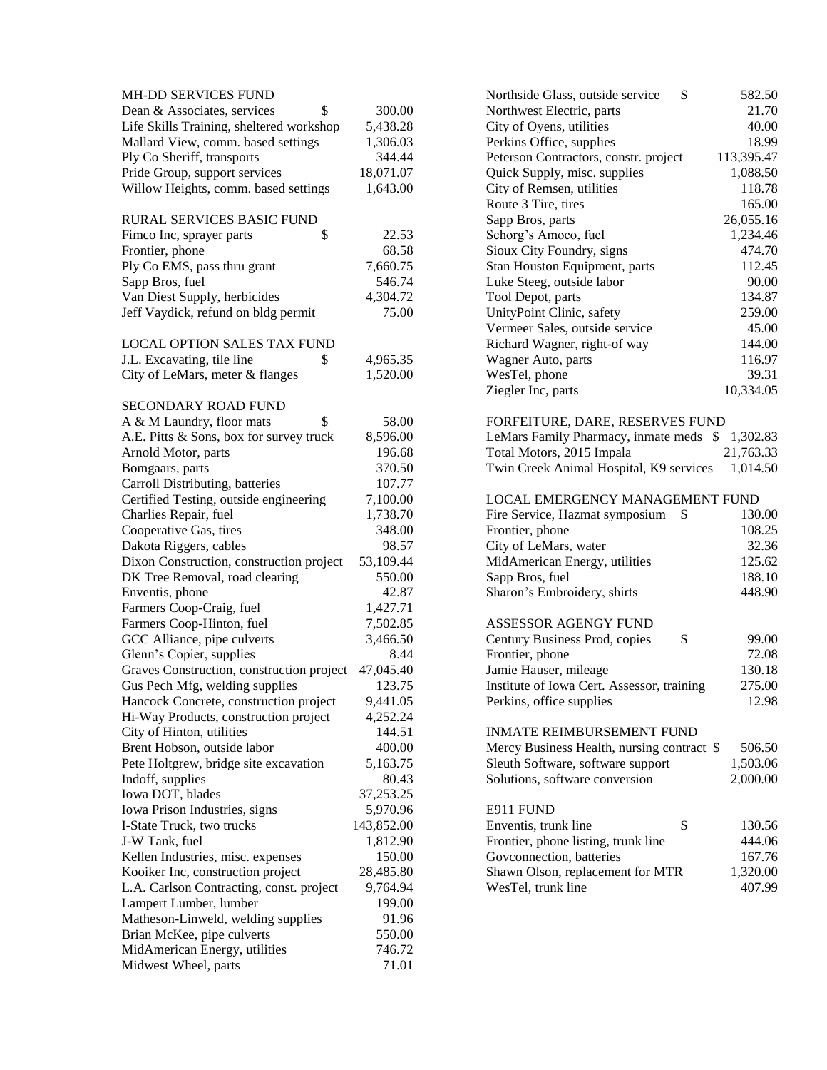| <b>MH-DD SERVICES FUND</b>                |            | Northside Glass, outside service<br>\$     | 582.50     |
|-------------------------------------------|------------|--------------------------------------------|------------|
| \$<br>Dean & Associates, services         | 300.00     | Northwest Electric, parts                  | 21.70      |
| Life Skills Training, sheltered workshop  | 5,438.28   | City of Oyens, utilities                   | 40.00      |
| Mallard View, comm. based settings        | 1,306.03   | Perkins Office, supplies                   | 18.99      |
| Ply Co Sheriff, transports                | 344.44     | Peterson Contractors, constr. project      | 113,395.47 |
| Pride Group, support services             | 18,071.07  | Quick Supply, misc. supplies               | 1,088.50   |
| Willow Heights, comm. based settings      | 1,643.00   | City of Remsen, utilities                  | 118.78     |
|                                           |            | Route 3 Tire, tires                        | 165.00     |
| RURAL SERVICES BASIC FUND                 |            | Sapp Bros, parts                           | 26,055.16  |
| \$<br>Fimco Inc, sprayer parts            | 22.53      | Schorg's Amoco, fuel                       | 1,234.46   |
| Frontier, phone                           | 68.58      | Sioux City Foundry, signs                  | 474.70     |
| Ply Co EMS, pass thru grant               | 7,660.75   | Stan Houston Equipment, parts              | 112.45     |
| Sapp Bros, fuel                           | 546.74     | Luke Steeg, outside labor                  | 90.00      |
| Van Diest Supply, herbicides              | 4,304.72   | Tool Depot, parts                          | 134.87     |
| Jeff Vaydick, refund on bldg permit       | 75.00      | UnityPoint Clinic, safety                  | 259.00     |
|                                           |            | Vermeer Sales, outside service             | 45.00      |
| <b>LOCAL OPTION SALES TAX FUND</b>        |            | Richard Wagner, right-of way               | 144.00     |
| J.L. Excavating, tile line<br>\$          | 4,965.35   | Wagner Auto, parts                         | 116.97     |
|                                           |            |                                            |            |
| City of LeMars, meter & flanges           | 1,520.00   | WesTel, phone                              | 39.31      |
|                                           |            | Ziegler Inc, parts                         | 10,334.05  |
| <b>SECONDARY ROAD FUND</b>                |            |                                            |            |
| \$<br>A & M Laundry, floor mats           | 58.00      | FORFEITURE, DARE, RESERVES FUND            |            |
| A.E. Pitts & Sons, box for survey truck   | 8,596.00   | LeMars Family Pharmacy, inmate meds \$     | 1,302.83   |
| Arnold Motor, parts                       | 196.68     | Total Motors, 2015 Impala                  | 21,763.33  |
| Bomgaars, parts                           | 370.50     | Twin Creek Animal Hospital, K9 services    | 1,014.50   |
| Carroll Distributing, batteries           | 107.77     |                                            |            |
| Certified Testing, outside engineering    | 7,100.00   | LOCAL EMERGENCY MANAGEMENT FUND            |            |
| Charlies Repair, fuel                     | 1,738.70   | Fire Service, Hazmat symposium<br>- \$     | 130.00     |
| Cooperative Gas, tires                    | 348.00     | Frontier, phone                            | 108.25     |
| Dakota Riggers, cables                    | 98.57      | City of LeMars, water                      | 32.36      |
| Dixon Construction, construction project  | 53,109.44  | MidAmerican Energy, utilities              | 125.62     |
| DK Tree Removal, road clearing            | 550.00     | Sapp Bros, fuel                            | 188.10     |
| Enventis, phone                           | 42.87      | Sharon's Embroidery, shirts                | 448.90     |
| Farmers Coop-Craig, fuel                  | 1,427.71   |                                            |            |
| Farmers Coop-Hinton, fuel                 | 7,502.85   | ASSESSOR AGENGY FUND                       |            |
| GCC Alliance, pipe culverts               | 3,466.50   | \$<br>Century Business Prod, copies        | 99.00      |
| Glenn's Copier, supplies                  | 8.44       | Frontier, phone                            | 72.08      |
| Graves Construction, construction project | 47,045.40  | Jamie Hauser, mileage                      | 130.18     |
| Gus Pech Mfg, welding supplies            | 123.75     | Institute of Iowa Cert. Assessor, training | 275.00     |
| Hancock Concrete, construction project    | 9,441.05   | Perkins, office supplies                   | 12.98      |
| Hi-Way Products, construction project     | 4,252.24   |                                            |            |
| City of Hinton, utilities                 | 144.51     | <b>INMATE REIMBURSEMENT FUND</b>           |            |
| Brent Hobson, outside labor               | 400.00     | Mercy Business Health, nursing contract \$ | 506.50     |
| Pete Holtgrew, bridge site excavation     | 5,163.75   | Sleuth Software, software support          | 1,503.06   |
| Indoff, supplies                          | 80.43      | Solutions, software conversion             | 2,000.00   |
| Iowa DOT, blades                          | 37,253.25  |                                            |            |
| Iowa Prison Industries, signs             | 5,970.96   | E911 FUND                                  |            |
| I-State Truck, two trucks                 | 143,852.00 | \$<br>Enventis, trunk line                 | 130.56     |
| J-W Tank, fuel                            | 1,812.90   | Frontier, phone listing, trunk line        | 444.06     |
| Kellen Industries, misc. expenses         | 150.00     | Govconnection, batteries                   | 167.76     |
| Kooiker Inc, construction project         | 28,485.80  | Shawn Olson, replacement for MTR           | 1,320.00   |
| L.A. Carlson Contracting, const. project  | 9,764.94   | WesTel, trunk line                         | 407.99     |
|                                           | 199.00     |                                            |            |
| Lampert Lumber, lumber                    |            |                                            |            |
| Matheson-Linweld, welding supplies        | 91.96      |                                            |            |
| Brian McKee, pipe culverts                | 550.00     |                                            |            |
| MidAmerican Energy, utilities             | 746.72     |                                            |            |
| Midwest Wheel, parts                      | 71.01      |                                            |            |